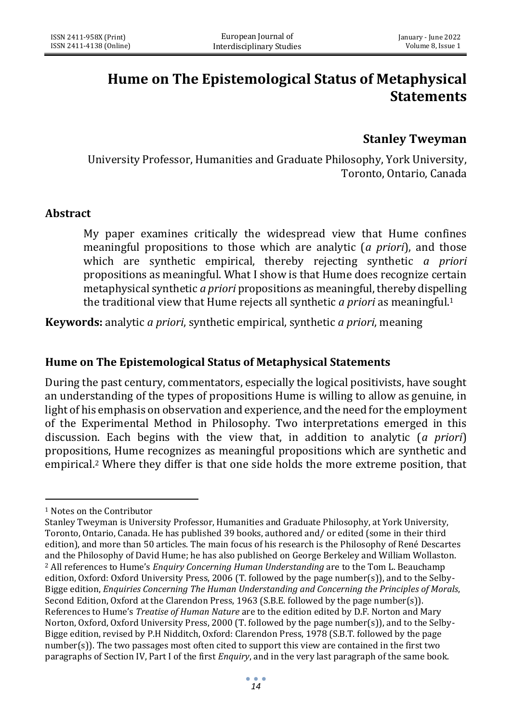## **Hume on The Epistemological Status of Metaphysical Statements**

## **Stanley Tweyman**

University Professor, Humanities and Graduate Philosophy, York University, Toronto, Ontario, Canada

## **Abstract**

My paper examines critically the widespread view that Hume confines meaningful propositions to those which are analytic (*a priori*), and those which are synthetic empirical, thereby rejecting synthetic *a priori* propositions as meaningful. What I show is that Hume does recognize certain metaphysical synthetic *a priori* propositions as meaningful, thereby dispelling the traditional view that Hume rejects all synthetic *a priori* as meaningful.<sup>1</sup>

**Keywords:** analytic *a priori*, synthetic empirical, synthetic *a priori*, meaning

## **Hume on The Epistemological Status of Metaphysical Statements**

During the past century, commentators, especially the logical positivists, have sought an understanding of the types of propositions Hume is willing to allow as genuine, in light of his emphasis on observation and experience, and the need for the employment of the Experimental Method in Philosophy. Two interpretations emerged in this discussion. Each begins with the view that, in addition to analytic (*a priori*) propositions, Hume recognizes as meaningful propositions which are synthetic and empirical.<sup>2</sup> Where they differ is that one side holds the more extreme position, that

<sup>1</sup> Notes on the Contributor

Stanley Tweyman is University Professor, Humanities and Graduate Philosophy, at York University, Toronto, Ontario, Canada. He has published 39 books, authored and/ or edited (some in their third edition), and more than 50 articles. The main focus of his research is the Philosophy of René Descartes and the Philosophy of David Hume; he has also published on George Berkeley and William Wollaston. <sup>2</sup> All references to Hume's *Enquiry Concerning Human Understanding* are to the Tom L. Beauchamp edition, Oxford: Oxford University Press, 2006 (T. followed by the page number(s)), and to the Selby-Bigge edition, *Enquiries Concerning The Human Understanding and Concerning the Principles of Morals*, Second Edition, Oxford at the Clarendon Press, 1963 (S.B.E. followed by the page number(s)). References to Hume's *Treatise of Human Nature* are to the edition edited by D.F. Norton and Mary Norton, Oxford, Oxford University Press, 2000 (T. followed by the page number(s)), and to the Selby-Bigge edition, revised by P.H Nidditch, Oxford: Clarendon Press, 1978 (S.B.T. followed by the page number(s)). The two passages most often cited to support this view are contained in the first two paragraphs of Section IV, Part I of the first *Enquiry*, and in the very last paragraph of the same book.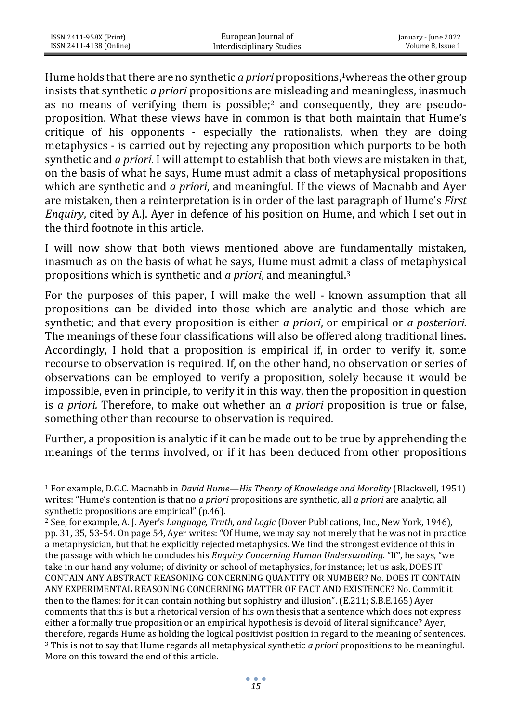Hume holds that there are no synthetic *a priori* propositions,<sup>1</sup>whereas the other group insists that synthetic *a priori* propositions are misleading and meaningless, inasmuch as no means of verifying them is possible;<sup>2</sup> and consequently, they are pseudoproposition. What these views have in common is that both maintain that Hume's critique of his opponents - especially the rationalists, when they are doing metaphysics - is carried out by rejecting any proposition which purports to be both synthetic and *a priori*. I will attempt to establish that both views are mistaken in that, on the basis of what he says, Hume must admit a class of metaphysical propositions which are synthetic and *a priori*, and meaningful. If the views of Macnabb and Ayer are mistaken, then a reinterpretation is in order of the last paragraph of Hume's *First Enquiry*, cited by A.J. Ayer in defence of his position on Hume, and which I set out in the third footnote in this article.

I will now show that both views mentioned above are fundamentally mistaken, inasmuch as on the basis of what he says, Hume must admit a class of metaphysical propositions which is synthetic and *a priori*, and meaningful.<sup>3</sup>

For the purposes of this paper, I will make the well - known assumption that all propositions can be divided into those which are analytic and those which are synthetic; and that every proposition is either *a priori*, or empirical or *a posteriori.*  The meanings of these four classifications will also be offered along traditional lines. Accordingly, I hold that a proposition is empirical if, in order to verify it, some recourse to observation is required. If, on the other hand, no observation or series of observations can be employed to verify a proposition, solely because it would be impossible, even in principle, to verify it in this way, then the proposition in question is *a priori.* Therefore, to make out whether an *a priori* proposition is true or false, something other than recourse to observation is required.

Further, a proposition is analytic if it can be made out to be true by apprehending the meanings of the terms involved, or if it has been deduced from other propositions

<sup>1</sup> For example, D.G.C. Macnabb in *David Hume—His Theory of Knowledge and Morality* (Blackwell, 1951) writes: "Hume's contention is that no *a priori* propositions are synthetic, all *a priori* are analytic, all synthetic propositions are empirical" (p.46).

<sup>2</sup> See, for example, A. J. Ayer's *Language, Truth, and Logic* (Dover Publications, Inc., New York, 1946), pp. 31, 35, 53-54. On page 54, Ayer writes: "Of Hume, we may say not merely that he was not in practice a metaphysician, but that he explicitly rejected metaphysics. We find the strongest evidence of this in the passage with which he concludes his *Enquiry Concerning Human Understanding*. "If", he says, "we take in our hand any volume; of divinity or school of metaphysics, for instance; let us ask, DOES IT CONTAIN ANY ABSTRACT REASONING CONCERNING QUANTITY OR NUMBER? No. DOES IT CONTAIN ANY EXPERIMENTAL REASONING CONCERNING MATTER OF FACT AND EXISTENCE? No. Commit it then to the flames: for it can contain nothing but sophistry and illusion". (E.211; S.B.E.165) Ayer comments that this is but a rhetorical version of his own thesis that a sentence which does not express either a formally true proposition or an empirical hypothesis is devoid of literal significance? Ayer, therefore, regards Hume as holding the logical positivist position in regard to the meaning of sentences. <sup>3</sup> This is not to say that Hume regards all metaphysical synthetic *a priori* propositions to be meaningful. More on this toward the end of this article.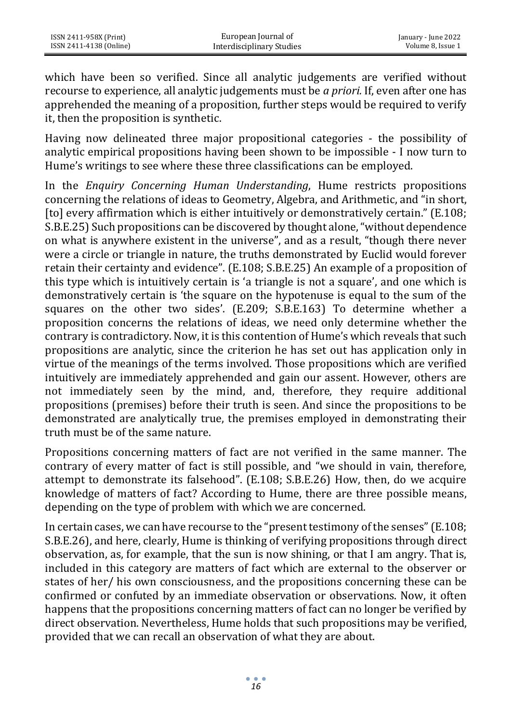which have been so verified. Since all analytic judgements are verified without recourse to experience, all analytic judgements must be *a priori.* If, even after one has apprehended the meaning of a proposition, further steps would be required to verify it, then the proposition is synthetic.

Having now delineated three major propositional categories - the possibility of analytic empirical propositions having been shown to be impossible - I now turn to Hume's writings to see where these three classifications can be employed.

In the *Enquiry Concerning Human Understanding*, Hume restricts propositions concerning the relations of ideas to Geometry, Algebra, and Arithmetic, and "in short, [to] every affirmation which is either intuitively or demonstratively certain." (E.108; S.B.E.25) Such propositions can be discovered by thought alone, "without dependence on what is anywhere existent in the universe", and as a result, "though there never were a circle or triangle in nature, the truths demonstrated by Euclid would forever retain their certainty and evidence". (E.108; S.B.E.25) An example of a proposition of this type which is intuitively certain is 'a triangle is not a square', and one which is demonstratively certain is 'the square on the hypotenuse is equal to the sum of the squares on the other two sides'. (E.209; S.B.E.163) To determine whether a proposition concerns the relations of ideas, we need only determine whether the contrary is contradictory. Now, it is this contention of Hume's which reveals that such propositions are analytic, since the criterion he has set out has application only in virtue of the meanings of the terms involved. Those propositions which are verified intuitively are immediately apprehended and gain our assent. However, others are not immediately seen by the mind, and, therefore, they require additional propositions (premises) before their truth is seen. And since the propositions to be demonstrated are analytically true, the premises employed in demonstrating their truth must be of the same nature.

Propositions concerning matters of fact are not verified in the same manner. The contrary of every matter of fact is still possible, and "we should in vain, therefore, attempt to demonstrate its falsehood". (E.108; S.B.E.26) How, then, do we acquire knowledge of matters of fact? According to Hume, there are three possible means, depending on the type of problem with which we are concerned.

In certain cases, we can have recourse to the "present testimony of the senses" (E.108; S.B.E.26), and here, clearly, Hume is thinking of verifying propositions through direct observation, as, for example, that the sun is now shining, or that I am angry. That is, included in this category are matters of fact which are external to the observer or states of her/ his own consciousness, and the propositions concerning these can be confirmed or confuted by an immediate observation or observations. Now, it often happens that the propositions concerning matters of fact can no longer be verified by direct observation. Nevertheless, Hume holds that such propositions may be verified, provided that we can recall an observation of what they are about.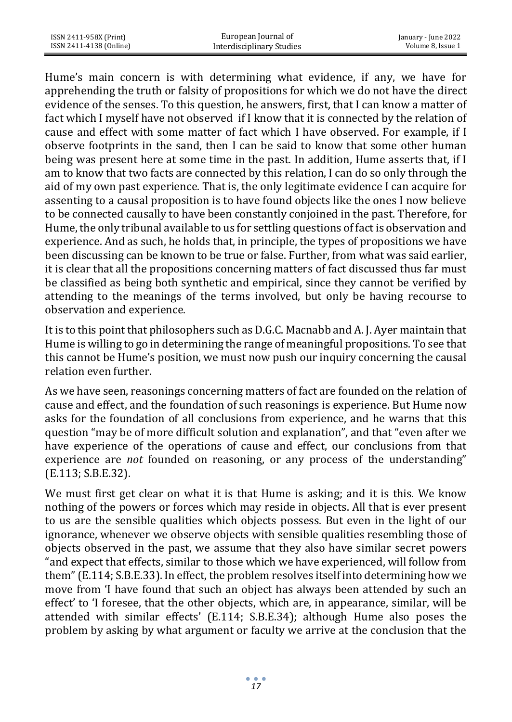| ISSN 2411-958X (Print)  | European Journal of       | January - June 2022 |
|-------------------------|---------------------------|---------------------|
| ISSN 2411-4138 (Online) | Interdisciplinary Studies | Volume 8. Issue 1   |

Hume's main concern is with determining what evidence, if any, we have for apprehending the truth or falsity of propositions for which we do not have the direct evidence of the senses. To this question, he answers, first, that I can know a matter of fact which I myself have not observed if I know that it is connected by the relation of cause and effect with some matter of fact which I have observed. For example, if I observe footprints in the sand, then I can be said to know that some other human being was present here at some time in the past. In addition, Hume asserts that, if I am to know that two facts are connected by this relation, I can do so only through the aid of my own past experience. That is, the only legitimate evidence I can acquire for assenting to a causal proposition is to have found objects like the ones I now believe to be connected causally to have been constantly conjoined in the past. Therefore, for Hume, the only tribunal available to us for settling questions of fact is observation and experience. And as such, he holds that, in principle, the types of propositions we have been discussing can be known to be true or false. Further, from what was said earlier, it is clear that all the propositions concerning matters of fact discussed thus far must be classified as being both synthetic and empirical, since they cannot be verified by attending to the meanings of the terms involved, but only be having recourse to observation and experience.

It is to this point that philosophers such as D.G.C. Macnabb and A. J. Ayer maintain that Hume is willing to go in determining the range of meaningful propositions. To see that this cannot be Hume's position, we must now push our inquiry concerning the causal relation even further.

As we have seen, reasonings concerning matters of fact are founded on the relation of cause and effect, and the foundation of such reasonings is experience. But Hume now asks for the foundation of all conclusions from experience, and he warns that this question "may be of more difficult solution and explanation", and that "even after we have experience of the operations of cause and effect, our conclusions from that experience are *not* founded on reasoning, or any process of the understanding" (E.113; S.B.E.32).

We must first get clear on what it is that Hume is asking; and it is this. We know nothing of the powers or forces which may reside in objects. All that is ever present to us are the sensible qualities which objects possess. But even in the light of our ignorance, whenever we observe objects with sensible qualities resembling those of objects observed in the past, we assume that they also have similar secret powers "and expect that effects, similar to those which we have experienced, will follow from them" (E.114; S.B.E.33). In effect, the problem resolves itself into determining how we move from 'I have found that such an object has always been attended by such an effect' to 'I foresee, that the other objects, which are, in appearance, similar, will be attended with similar effects' (E.114; S.B.E.34); although Hume also poses the problem by asking by what argument or faculty we arrive at the conclusion that the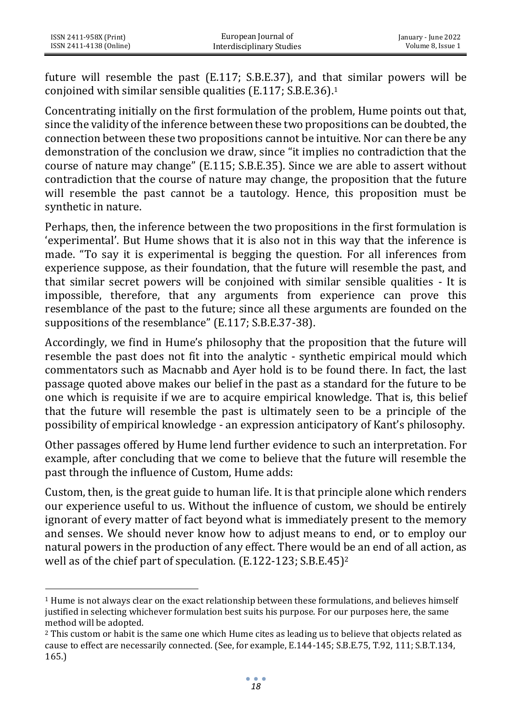future will resemble the past (E.117; S.B.E.37), and that similar powers will be conjoined with similar sensible qualities (E.117; S.B.E.36).<sup>1</sup>

Concentrating initially on the first formulation of the problem, Hume points out that, since the validity of the inference between these two propositions can be doubted, the connection between these two propositions cannot be intuitive. Nor can there be any demonstration of the conclusion we draw, since "it implies no contradiction that the course of nature may change" (E.115; S.B.E.35). Since we are able to assert without contradiction that the course of nature may change, the proposition that the future will resemble the past cannot be a tautology. Hence, this proposition must be synthetic in nature.

Perhaps, then, the inference between the two propositions in the first formulation is 'experimental'. But Hume shows that it is also not in this way that the inference is made. "To say it is experimental is begging the question. For all inferences from experience suppose, as their foundation, that the future will resemble the past, and that similar secret powers will be conjoined with similar sensible qualities - It is impossible, therefore, that any arguments from experience can prove this resemblance of the past to the future; since all these arguments are founded on the suppositions of the resemblance" (E.117; S.B.E.37-38).

Accordingly, we find in Hume's philosophy that the proposition that the future will resemble the past does not fit into the analytic - synthetic empirical mould which commentators such as Macnabb and Ayer hold is to be found there. In fact, the last passage quoted above makes our belief in the past as a standard for the future to be one which is requisite if we are to acquire empirical knowledge. That is, this belief that the future will resemble the past is ultimately seen to be a principle of the possibility of empirical knowledge - an expression anticipatory of Kant's philosophy.

Other passages offered by Hume lend further evidence to such an interpretation. For example, after concluding that we come to believe that the future will resemble the past through the influence of Custom, Hume adds:

Custom, then, is the great guide to human life. It is that principle alone which renders our experience useful to us. Without the influence of custom, we should be entirely ignorant of every matter of fact beyond what is immediately present to the memory and senses. We should never know how to adjust means to end, or to employ our natural powers in the production of any effect. There would be an end of all action, as well as of the chief part of speculation. (E.122-123; S.B.E.45)<sup>2</sup>

<sup>1</sup> Hume is not always clear on the exact relationship between these formulations, and believes himself justified in selecting whichever formulation best suits his purpose. For our purposes here, the same method will be adopted.

<sup>2</sup> This custom or habit is the same one which Hume cites as leading us to believe that objects related as cause to effect are necessarily connected. (See, for example, E.144-145; S.B.E.75, T.92, 111; S.B.T.134, 165.)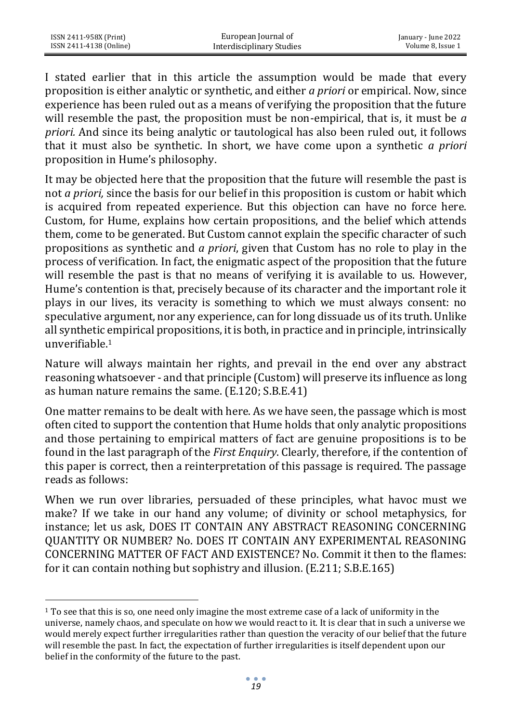I stated earlier that in this article the assumption would be made that every proposition is either analytic or synthetic, and either *a priori* or empirical. Now, since experience has been ruled out as a means of verifying the proposition that the future will resemble the past, the proposition must be non-empirical, that is, it must be *a priori.* And since its being analytic or tautological has also been ruled out, it follows that it must also be synthetic. In short, we have come upon a synthetic *a priori*  proposition in Hume's philosophy.

It may be objected here that the proposition that the future will resemble the past is not *a priori,* since the basis for our belief in this proposition is custom or habit which is acquired from repeated experience. But this objection can have no force here. Custom, for Hume, explains how certain propositions, and the belief which attends them, come to be generated. But Custom cannot explain the specific character of such propositions as synthetic and *a priori*, given that Custom has no role to play in the process of verification. In fact, the enigmatic aspect of the proposition that the future will resemble the past is that no means of verifying it is available to us. However, Hume's contention is that, precisely because of its character and the important role it plays in our lives, its veracity is something to which we must always consent: no speculative argument, nor any experience, can for long dissuade us of its truth. Unlike all synthetic empirical propositions, it is both, in practice and in principle, intrinsically unverifiable.<sup>1</sup>

Nature will always maintain her rights, and prevail in the end over any abstract reasoning whatsoever - and that principle (Custom) will preserve its influence as long as human nature remains the same. (E.120; S.B.E.41)

One matter remains to be dealt with here. As we have seen, the passage which is most often cited to support the contention that Hume holds that only analytic propositions and those pertaining to empirical matters of fact are genuine propositions is to be found in the last paragraph of the *First Enquiry*. Clearly, therefore, if the contention of this paper is correct, then a reinterpretation of this passage is required. The passage reads as follows:

When we run over libraries, persuaded of these principles, what havoc must we make? If we take in our hand any volume; of divinity or school metaphysics, for instance; let us ask, DOES IT CONTAIN ANY ABSTRACT REASONING CONCERNING QUANTITY OR NUMBER? No. DOES IT CONTAIN ANY EXPERIMENTAL REASONING CONCERNING MATTER OF FACT AND EXISTENCE? No. Commit it then to the flames: for it can contain nothing but sophistry and illusion. (E.211; S.B.E.165)

<sup>1</sup> To see that this is so, one need only imagine the most extreme case of a lack of uniformity in the universe, namely chaos, and speculate on how we would react to it. It is clear that in such a universe we would merely expect further irregularities rather than question the veracity of our belief that the future will resemble the past. In fact, the expectation of further irregularities is itself dependent upon our belief in the conformity of the future to the past.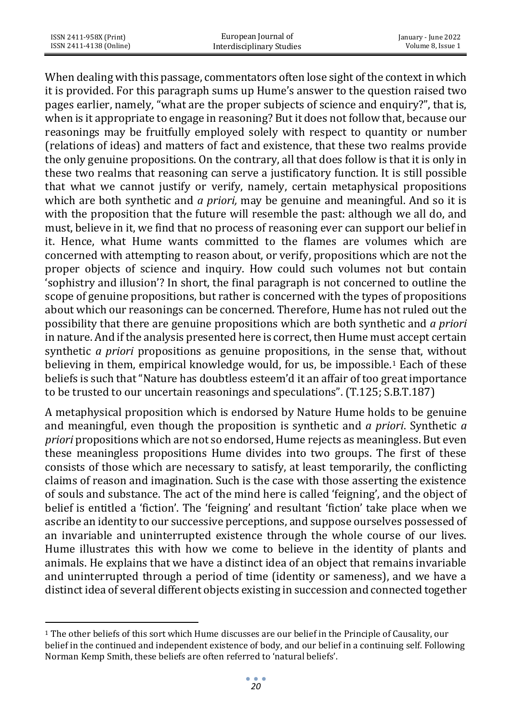When dealing with this passage, commentators often lose sight of the context in which it is provided. For this paragraph sums up Hume's answer to the question raised two pages earlier, namely, "what are the proper subjects of science and enquiry?", that is, when is it appropriate to engage in reasoning? But it does not follow that, because our reasonings may be fruitfully employed solely with respect to quantity or number (relations of ideas) and matters of fact and existence, that these two realms provide the only genuine propositions. On the contrary, all that does follow is that it is only in these two realms that reasoning can serve a justificatory function. It is still possible that what we cannot justify or verify, namely, certain metaphysical propositions which are both synthetic and *a priori,* may be genuine and meaningful. And so it is with the proposition that the future will resemble the past: although we all do, and must, believe in it, we find that no process of reasoning ever can support our belief in it. Hence, what Hume wants committed to the flames are volumes which are concerned with attempting to reason about, or verify, propositions which are not the proper objects of science and inquiry. How could such volumes not but contain 'sophistry and illusion'? In short, the final paragraph is not concerned to outline the scope of genuine propositions, but rather is concerned with the types of propositions about which our reasonings can be concerned. Therefore, Hume has not ruled out the possibility that there are genuine propositions which are both synthetic and *a priori* in nature. And if the analysis presented here is correct, then Hume must accept certain synthetic *a priori* propositions as genuine propositions, in the sense that, without believing in them, empirical knowledge would, for us, be impossible.<sup>1</sup> Each of these beliefs is such that "Nature has doubtless esteem'd it an affair of too great importance to be trusted to our uncertain reasonings and speculations". (T.125; S.B.T.187)

A metaphysical proposition which is endorsed by Nature Hume holds to be genuine and meaningful, even though the proposition is synthetic and *a priori*. Synthetic *a priori* propositions which are not so endorsed, Hume rejects as meaningless. But even these meaningless propositions Hume divides into two groups. The first of these consists of those which are necessary to satisfy, at least temporarily, the conflicting claims of reason and imagination. Such is the case with those asserting the existence of souls and substance. The act of the mind here is called 'feigning', and the object of belief is entitled a 'fiction'. The 'feigning' and resultant 'fiction' take place when we ascribe an identity to our successive perceptions, and suppose ourselves possessed of an invariable and uninterrupted existence through the whole course of our lives. Hume illustrates this with how we come to believe in the identity of plants and animals. He explains that we have a distinct idea of an object that remains invariable and uninterrupted through a period of time (identity or sameness), and we have a distinct idea of several different objects existing in succession and connected together

<sup>1</sup> The other beliefs of this sort which Hume discusses are our belief in the Principle of Causality, our belief in the continued and independent existence of body, and our belief in a continuing self. Following Norman Kemp Smith, these beliefs are often referred to 'natural beliefs'.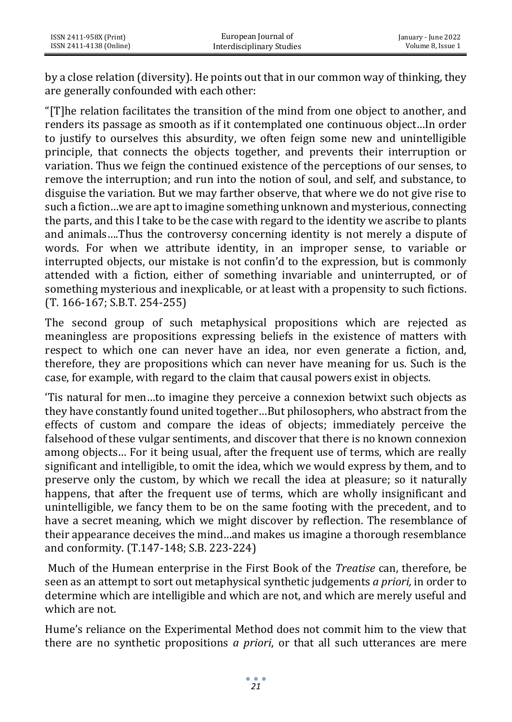by a close relation (diversity). He points out that in our common way of thinking, they are generally confounded with each other:

"[T]he relation facilitates the transition of the mind from one object to another, and renders its passage as smooth as if it contemplated one continuous object…In order to justify to ourselves this absurdity, we often feign some new and unintelligible principle, that connects the objects together, and prevents their interruption or variation. Thus we feign the continued existence of the perceptions of our senses, to remove the interruption; and run into the notion of soul, and self, and substance, to disguise the variation. But we may farther observe, that where we do not give rise to such a fiction…we are apt to imagine something unknown and mysterious, connecting the parts, and this I take to be the case with regard to the identity we ascribe to plants and animals….Thus the controversy concerning identity is not merely a dispute of words. For when we attribute identity, in an improper sense, to variable or interrupted objects, our mistake is not confin'd to the expression, but is commonly attended with a fiction, either of something invariable and uninterrupted, or of something mysterious and inexplicable, or at least with a propensity to such fictions. (T. 166-167; S.B.T. 254-255)

The second group of such metaphysical propositions which are rejected as meaningless are propositions expressing beliefs in the existence of matters with respect to which one can never have an idea, nor even generate a fiction, and, therefore, they are propositions which can never have meaning for us. Such is the case, for example, with regard to the claim that causal powers exist in objects.

'Tis natural for men…to imagine they perceive a connexion betwixt such objects as they have constantly found united together…But philosophers, who abstract from the effects of custom and compare the ideas of objects; immediately perceive the falsehood of these vulgar sentiments, and discover that there is no known connexion among objects… For it being usual, after the frequent use of terms, which are really significant and intelligible, to omit the idea, which we would express by them, and to preserve only the custom, by which we recall the idea at pleasure; so it naturally happens, that after the frequent use of terms, which are wholly insignificant and unintelligible, we fancy them to be on the same footing with the precedent, and to have a secret meaning, which we might discover by reflection. The resemblance of their appearance deceives the mind…and makes us imagine a thorough resemblance and conformity. (T.147-148; S.B. 223-224)

Much of the Humean enterprise in the First Book of the *Treatise* can, therefore, be seen as an attempt to sort out metaphysical synthetic judgements *a priori,* in order to determine which are intelligible and which are not, and which are merely useful and which are not.

Hume's reliance on the Experimental Method does not commit him to the view that there are no synthetic propositions *a priori*, or that all such utterances are mere